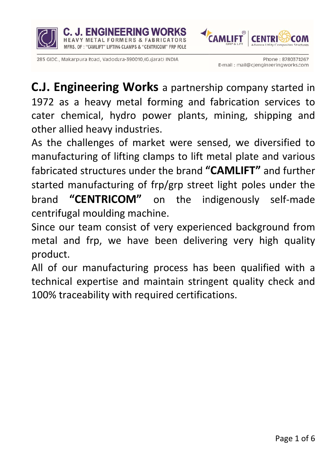



AL FORMERS & FABRICATORS

MFRS. OF: "CAMLIFT" LIFTING CLAMPS & "CENTRICOM" FRP POLE

C.J. Engineering Works a partnership company started in 1972 as a heavy metal forming and fabrication services to cater chemical, hydro power plants, mining, shipping and other allied heavy industries.

As the challenges of market were sensed, we diversified to manufacturing of lifting clamps to lift metal plate and various fabricated structures under the brand "CAMLIFT" and further started manufacturing of frp/grp street light poles under the **"CENTRICOM"** on the indigenously self-made **brand** centrifugal moulding machine.

Since our team consist of very experienced background from metal and frp, we have been delivering very high quality product.

All of our manufacturing process has been qualified with a technical expertise and maintain stringent quality check and 100% traceability with required certifications.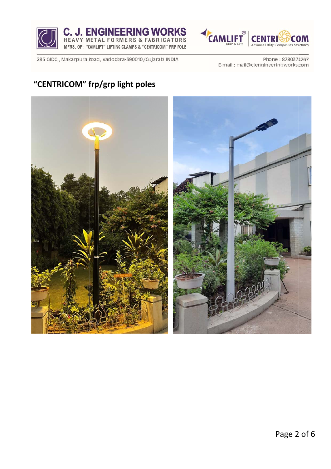





Phone: 8780374267 E-mail: mail@cjengineeringworks.com

## **"CENTRICOM" frp/grp light poles**

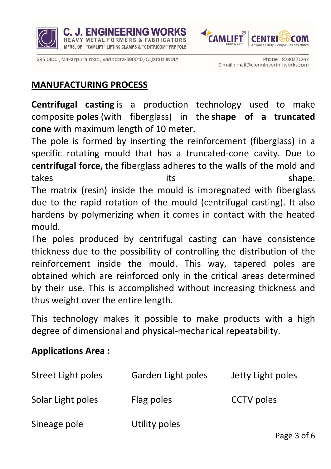



**METAL FORMERS & FABRICATORS** 

MFRS. OF: "CAMLIFT" LIFTING CLAMPS & "CENTRICOM" FRP POLE

### **MANUFACTURING PROCESS**

**Centrifugal casting** is a production technology used to make composite poles (with fiberglass) in the shape of a truncated cone with maximum length of 10 meter.

The pole is formed by inserting the reinforcement (fiberglass) in a specific rotating mould that has a truncated-cone cavity. Due to centrifugal force, the fiberglass adheres to the walls of the mold and takes its shape. The matrix (resin) inside the mould is impregnated with fiberglass due to the rapid rotation of the mould (centrifugal casting). It also hardens by polymerizing when it comes in contact with the heated mould.

The poles produced by centrifugal casting can have consistence thickness due to the possibility of controlling the distribution of the reinforcement inside the mould. This way, tapered poles are obtained which are reinforced only in the critical areas determined by their use. This is accomplished without increasing thickness and thus weight over the entire length.

This technology makes it possible to make products with a high degree of dimensional and physical-mechanical repeatability.

#### **Applications Area:**

| Street Light poles | Garden Light poles | Jetty Light poles |
|--------------------|--------------------|-------------------|
| Solar Light poles  | Flag poles         | <b>CCTV</b> poles |
| Sineage pole       | Utility poles      |                   |

Page 3 of 6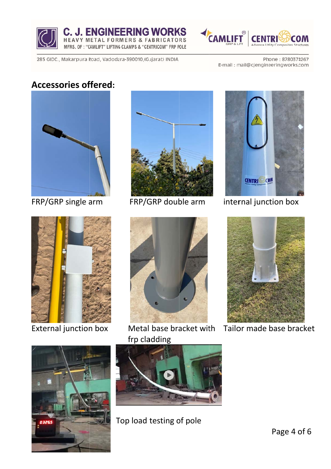



Phone: 8780374267 E-mail: mail@cjengineeringworks.com

### Accessories offered:



FRP/GRP single arm



External junction box



FRP/G GRP doub ble arm



Metal base bracket wit frp cla adding



internal junction box



th Tailor made base bracket





Top load testing of pole

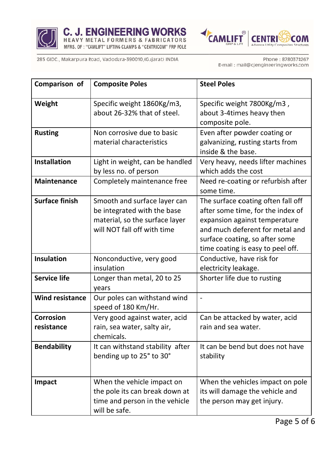





Phone: 8780374267 E-mail: mail@cjengineeringworks.com

| Comparison of                  | <b>Composite Poles</b>                                                                                                       | <b>Steel Poles</b>                                                                                                                                                                                                 |  |
|--------------------------------|------------------------------------------------------------------------------------------------------------------------------|--------------------------------------------------------------------------------------------------------------------------------------------------------------------------------------------------------------------|--|
| Weight                         | Specific weight 1860Kg/m3,<br>about 26-32% that of steel.                                                                    | Specific weight 7800Kg/m3,<br>about 3-4times heavy then<br>composite pole.                                                                                                                                         |  |
| <b>Rusting</b>                 | Non corrosive due to basic<br>material characteristics                                                                       | Even after powder coating or<br>galvanizing, rusting starts from<br>inside & the base.                                                                                                                             |  |
| <b>Installation</b>            | Light in weight, can be handled<br>by less no. of person                                                                     | Very heavy, needs lifter machines<br>which adds the cost                                                                                                                                                           |  |
| <b>Maintenance</b>             | Completely maintenance free                                                                                                  | Need re-coating or refurbish after<br>some time.                                                                                                                                                                   |  |
| <b>Surface finish</b>          | Smooth and surface layer can<br>be integrated with the base<br>material, so the surface layer<br>will NOT fall off with time | The surface coating often fall off<br>after some time, for the index of<br>expansion against temperature<br>and much deferent for metal and<br>surface coating, so after some<br>time coating is easy to peel off. |  |
| <b>Insulation</b>              | Nonconductive, very good<br>insulation                                                                                       | Conductive, have risk for<br>electricity leakage.                                                                                                                                                                  |  |
| <b>Service life</b>            | Longer than metal, 20 to 25<br>years                                                                                         | Shorter life due to rusting                                                                                                                                                                                        |  |
| <b>Wind resistance</b>         | Our poles can withstand wind<br>speed of 180 Km/Hr.                                                                          | $\overline{a}$                                                                                                                                                                                                     |  |
| <b>Corrosion</b><br>resistance | Very good against water, acid<br>rain, sea water, salty air,<br>chemicals.                                                   | Can be attacked by water, acid<br>rain and sea water.                                                                                                                                                              |  |
| <b>Bendability</b>             | It can withstand stability after<br>bending up to 25° to 30°                                                                 | It can be bend but does not have<br>stability                                                                                                                                                                      |  |
| <b>Impact</b>                  | When the vehicle impact on<br>the pole its can break down at<br>time and person in the vehicle<br>will be safe.              | When the vehicles impact on pole<br>its will damage the vehicle and<br>the person may get injury.                                                                                                                  |  |